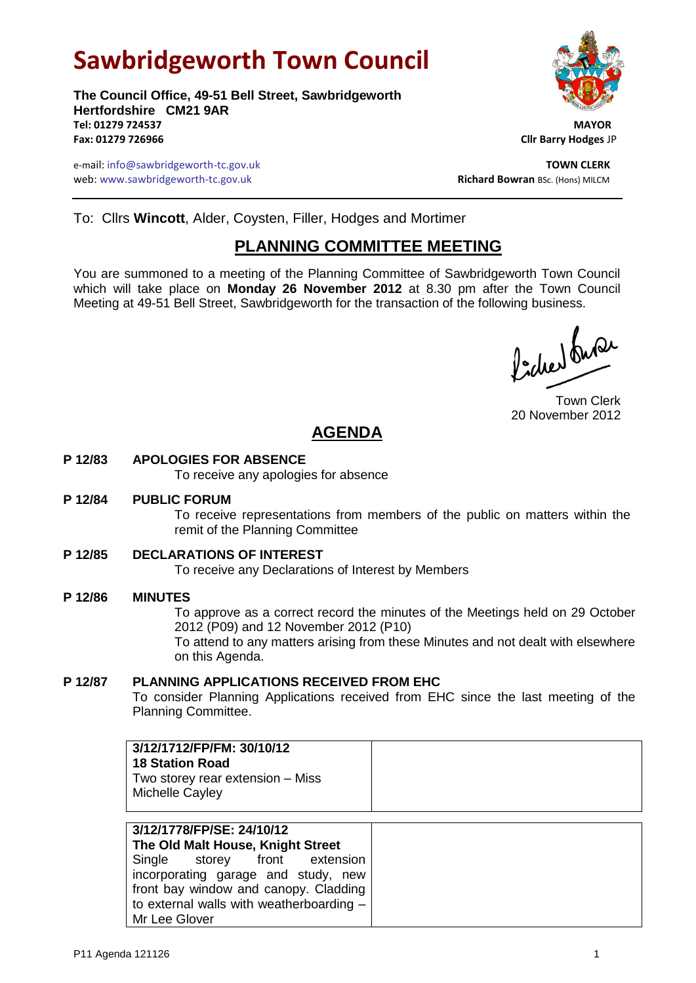# **Sawbridgeworth Town Council**

**The Council Office, 49-51 Bell Street, Sawbridgeworth Hertfordshire CM21 9AR** Tel: 01279 724537 **Fax: 01279 726966 Cllr Barry Hodges** JP

e-mail: info@sawbridgeworth-tc.gov.uk **TOWN CLERK** web: www.sawbridgeworth-tc.gov.uk<br>
Richard Bowran BSc. (Hons) MILCM



To: Cllrs **Wincott**, Alder, Coysten, Filler, Hodges and Mortimer

### **PLANNING COMMITTEE MEETING**

You are summoned to a meeting of the Planning Committee of Sawbridgeworth Town Council which will take place on **Monday 26 November 2012** at 8.30 pm after the Town Council Meeting at 49-51 Bell Street, Sawbridgeworth for the transaction of the following business.

fidee buse

Town Clerk 20 November 2012

## **AGENDA**

#### **P 12/83 APOLOGIES FOR ABSENCE**

To receive any apologies for absence

#### **P 12/84 PUBLIC FORUM**

To receive representations from members of the public on matters within the remit of the Planning Committee

#### **P 12/85 DECLARATIONS OF INTEREST**

To receive any Declarations of Interest by Members

#### **P 12/86 MINUTES**

To approve as a correct record the minutes of the Meetings held on 29 October 2012 (P09) and 12 November 2012 (P10)

To attend to any matters arising from these Minutes and not dealt with elsewhere on this Agenda.

#### **P 12/87 PLANNING APPLICATIONS RECEIVED FROM EHC**

To consider Planning Applications received from EHC since the last meeting of the Planning Committee.

|--|

| 3/12/1778/FP/SE: 24/10/12                |
|------------------------------------------|
| The Old Malt House, Knight Street        |
| Single storey front extension            |
| incorporating garage and study, new      |
| front bay window and canopy. Cladding    |
| to external walls with weatherboarding - |
| Mr Lee Glover                            |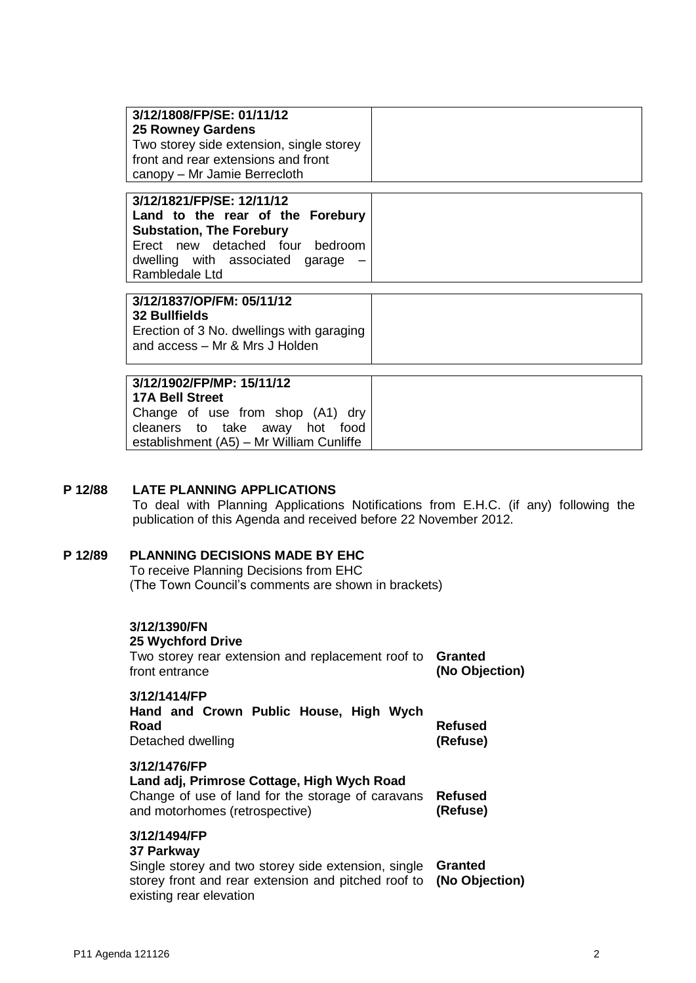| 3/12/1808/FP/SE: 01/11/12<br><b>25 Rowney Gardens</b><br>Two storey side extension, single storey<br>front and rear extensions and front<br>canopy – Mr Jamie Berrecloth                 |  |
|------------------------------------------------------------------------------------------------------------------------------------------------------------------------------------------|--|
| 3/12/1821/FP/SE: 12/11/12<br>Land to the rear of the Forebury<br><b>Substation, The Forebury</b><br>Erect new detached four bedroom<br>dwelling with associated garage<br>Rambledale Ltd |  |
| 3/12/1837/OP/FM: 05/11/12<br><b>32 Bullfields</b><br>Erection of 3 No. dwellings with garaging<br>and access - Mr & Mrs J Holden                                                         |  |
| 3/12/1902/FP/MP: 15/11/12<br><b>17A Bell Street</b>                                                                                                                                      |  |

Change of use from shop (A1) dry cleaners to take away hot food establishment (A5) – Mr William Cunliffe

#### **P 12/88 LATE PLANNING APPLICATIONS**

To deal with Planning Applications Notifications from E.H.C. (if any) following the publication of this Agenda and received before 22 November 2012.

#### **P 12/89 PLANNING DECISIONS MADE BY EHC**

To receive Planning Decisions from EHC (The Town Council's comments are shown in brackets)

| 3/12/1390/FN<br><b>25 Wychford Drive</b><br>Two storey rear extension and replacement roof to<br>front entrance                                                     | Granted<br>(No Objection)  |
|---------------------------------------------------------------------------------------------------------------------------------------------------------------------|----------------------------|
| 3/12/1414/FP<br>Hand and Crown Public House, High Wych<br>Road<br>Detached dwelling                                                                                 | Refused<br>(Refuse)        |
| 3/12/1476/FP<br>Land adj, Primrose Cottage, High Wych Road<br>Change of use of land for the storage of caravans<br>and motorhomes (retrospective)                   | <b>Refused</b><br>(Refuse) |
| 3/12/1494/FP<br>37 Parkway<br>Single storey and two storey side extension, single<br>storey front and rear extension and pitched roof to<br>existing rear elevation | Granted<br>(No Objection)  |